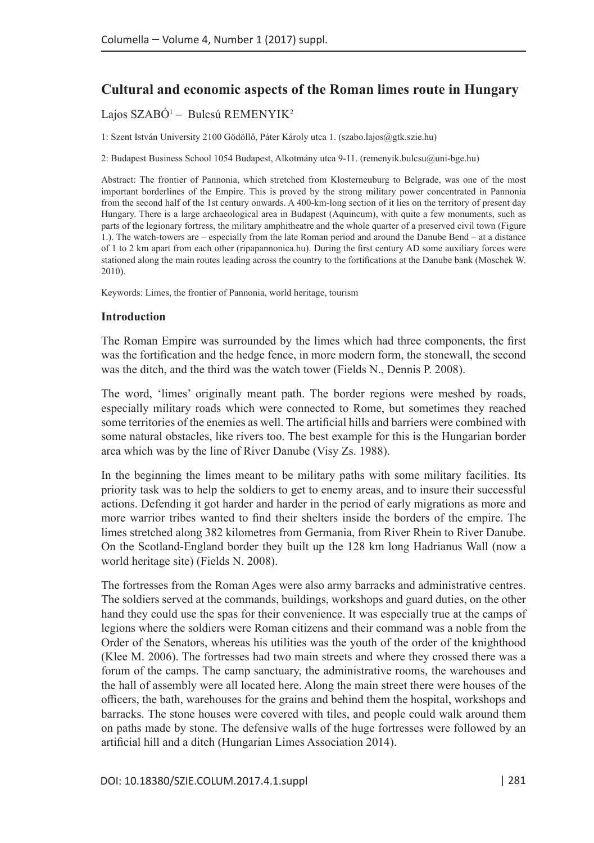# **Cultural and economic aspects of the Roman limes route in Hungary**

# Lajos SZABÓ<sup>1</sup> – Bulcsú REMENYIK<sup>2</sup>

1: Szent István University 2100 Gödöllő, Páter Károly utca 1. [\(szabo.lajos@gtk.szie.hu](mailto:szabo.lajos@gtk.szie.hu))

2: Budapest Business School 1054 Budapest, Alkotmány utca 9-11. [\(remenyik.bulcsu@uni-bge.hu](mailto:remenyik.bulcsu@uni-bge.hu))

Abstract: The frontier of Pannonia, which stretched from Klosterneuburg to Belgrade, was one of the most important borderlines of the Empire. This is proved by the strong military power concentrated in Pannonia from the second half of the 1st century onwards. A 400-km-long section of it lies on the territory of present day Hungary. There is a large archaeological area in Budapest (Aquincum), with quite a few monuments, such as parts of the legionary fortress, the military amphitheatre and the whole quarter of a preserved civil town (Figure 1.). The watch-towers are – especially from the late Roman period and around the Danube Bend – at a distance of 1 to 2 km apart from each other (ripapannonica.hu). During the first century AD some auxiliary forces were stationed along the main routes leading across the country to the fortifications at the Danube bank (Moschek W. 2010).

Keywords: Limes, the frontier of Pannonia, world heritage, tourism

### **Introduction**

The Roman Empire was surrounded by the limes which had three components, the first was the fortification and the hedge fence, in more modern form, the stonewall, the second was the ditch, and the third was the watch tower (Fields N., Dennis P. 2008).

The word, 'limes' originally meant path. The border regions were meshed by roads, especially military roads which were connected to Rome, but sometimes they reached some territories of the enemies as well. The artificial hills and barriers were combined with some natural obstacles, like rivers too. The best example for this is the Hungarian border area which was by the line of River Danube (Visy Zs. 1988).

In the beginning the limes meant to be military paths with some military facilities. Its priority task was to help the soldiers to get to enemy areas, and to insure their successful actions. Defending it got harder and harder in the period of early migrations as more and more warrior tribes wanted to find their shelters inside the borders of the empire. The limes stretched along 382 kilometres from Germania, from River Rhein to River Danube. On the Scotland-England border they built up the 128 km long Hadrianus Wall (now a world heritage site) (Fields N. 2008).

The fortresses from the Roman Ages were also army barracks and administrative centres. The soldiers served at the commands, buildings, workshops and guard duties, on the other hand they could use the spas for their convenience. It was especially true at the camps of legions where the soldiers were Roman citizens and their command was a noble from the Order of the Senators, whereas his utilities was the youth of the order of the knighthood (Klee M. 2006). The fortresses had two main streets and where they crossed there was a forum of the camps. The camp sanctuary, the administrative rooms, the warehouses and the hall of assembly were all located here. Along the main street there were houses of the officers, the bath, warehouses for the grains and behind them the hospital, workshops and barracks. The stone houses were covered with tiles, and people could walk around them on paths made by stone. The defensive walls of the huge fortresses were followed by an artificial hill and a ditch (Hungarian Limes Association 2014).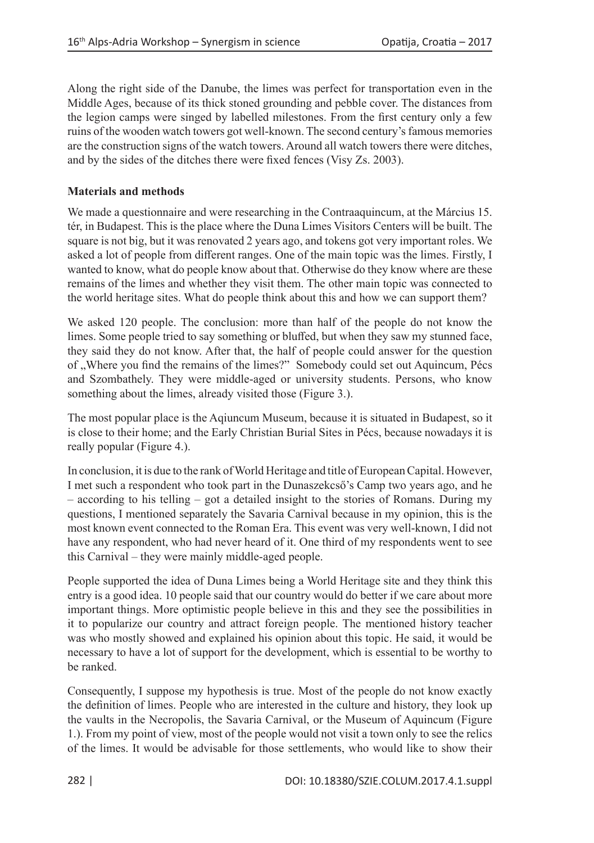Along the right side of the Danube, the limes was perfect for transportation even in the Middle Ages, because of its thick stoned grounding and pebble cover. The distances from the legion camps were singed by labelled milestones. From the first century only a few ruins of the wooden watch towers got well-known. The second century's famous memories are the construction signs of the watch towers. Around all watch towers there were ditches, and by the sides of the ditches there were fixed fences (Visy Zs. 2003).

## **Materials and methods**

We made a questionnaire and were researching in the Contraaquincum, at the Március 15. tér, in Budapest. This is the place where the Duna Limes Visitors Centers will be built. The square is not big, but it was renovated 2 years ago, and tokens got very important roles. We asked a lot of people from different ranges. One of the main topic was the limes. Firstly, I wanted to know, what do people know about that. Otherwise do they know where are these remains of the limes and whether they visit them. The other main topic was connected to the world heritage sites. What do people think about this and how we can support them?

We asked 120 people. The conclusion: more than half of the people do not know the limes. Some people tried to say something or bluffed, but when they saw my stunned face, they said they do not know. After that, the half of people could answer for the question of "Where you find the remains of the limes?" Somebody could set out Aquincum, Pécs and Szombathely. They were middle-aged or university students. Persons, who know something about the limes, already visited those (Figure 3.).

The most popular place is the Aqiuncum Museum, because it is situated in Budapest, so it is close to their home; and the Early Christian Burial Sites in Pécs, because nowadays it is really popular (Figure 4.).

In conclusion, it is due to the rank of World Heritage and title of European Capital. However, I met such a respondent who took part in the Dunaszekcső's Camp two years ago, and he – according to his telling – got a detailed insight to the stories of Romans. During my questions, I mentioned separately the Savaria Carnival because in my opinion, this is the most known event connected to the Roman Era. This event was very well-known, I did not have any respondent, who had never heard of it. One third of my respondents went to see this Carnival – they were mainly middle-aged people.

People supported the idea of Duna Limes being a World Heritage site and they think this entry is a good idea. 10 people said that our country would do better if we care about more important things. More optimistic people believe in this and they see the possibilities in it to popularize our country and attract foreign people. The mentioned history teacher was who mostly showed and explained his opinion about this topic. He said, it would be necessary to have a lot of support for the development, which is essential to be worthy to be ranked.

Consequently, I suppose my hypothesis is true. Most of the people do not know exactly the definition of limes. People who are interested in the culture and history, they look up the vaults in the Necropolis, the Savaria Carnival, or the Museum of Aquincum (Figure 1.). From my point of view, most of the people would not visit a town only to see the relics of the limes. It would be advisable for those settlements, who would like to show their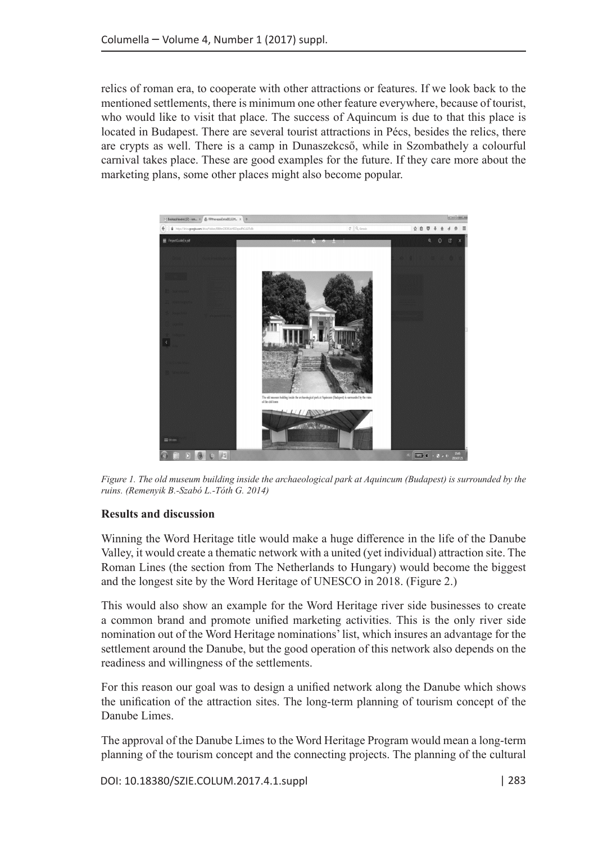relics of roman era, to cooperate with other attractions or features. If we look back to the mentioned settlements, there is minimum one other feature everywhere, because of tourist, who would like to visit that place. The success of Aquincum is due to that this place is located in Budapest. There are several tourist attractions in Pécs, besides the relics, there are crypts as well. There is a camp in Dunaszekcső, while in Szombathely a colourful carnival takes place. These are good examples for the future. If they care more about the marketing plans, some other places might also become popular.



*Figure 1. The old museum building inside the archaeological park at Aquincum (Budapest) is surrounded by the ruins. (Remenyik B.-Szabó L.-Tóth G. 2014)*

### **Results and discussion**

Winning the Word Heritage title would make a huge difference in the life of the Danube Valley, it would create a thematic network with a united (yet individual) attraction site. The Roman Lines (the section from The Netherlands to Hungary) would become the biggest and the longest site by the Word Heritage of UNESCO in 2018. (Figure 2.)

This would also show an example for the Word Heritage river side businesses to create a common brand and promote unified marketing activities. This is the only river side nomination out of the Word Heritage nominations' list, which insures an advantage for the settlement around the Danube, but the good operation of this network also depends on the readiness and willingness of the settlements.

For this reason our goal was to design a unified network along the Danube which shows the unification of the attraction sites. The long-term planning of tourism concept of the Danube Limes.

The approval of the Danube Limes to the Word Heritage Program would mean a long-term planning of the tourism concept and the connecting projects. The planning of the cultural

DOI: 10.18380/SZIE.COLUM.2017.4.1.suppl | 283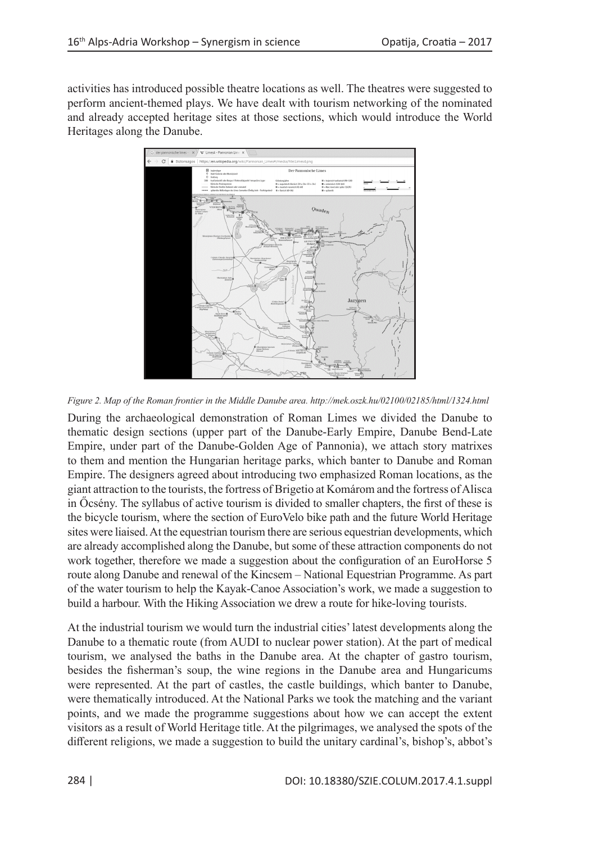activities has introduced possible theatre locations as well. The theatres were suggested to perform ancient-themed plays. We have dealt with tourism networking of the nominated and already accepted heritage sites at those sections, which would introduce the World Heritages along the Danube.



*Figure 2. Map of the Roman frontier in the Middle Danube area. http://mek.oszk.hu/02100/02185/html/1324.html*

During the archaeological demonstration of Roman Limes we divided the Danube to thematic design sections (upper part of the Danube-Early Empire, Danube Bend-Late Empire, under part of the Danube-Golden Age of Pannonia), we attach story matrixes to them and mention the Hungarian heritage parks, which banter to Danube and Roman Empire. The designers agreed about introducing two emphasized Roman locations, as the giant attraction to the tourists, the fortress of Brigetio at Komárom and the fortress of Alisca in Őcsény. The syllabus of active tourism is divided to smaller chapters, the first of these is the bicycle tourism, where the section of EuroVelo bike path and the future World Heritage sites were liaised. At the equestrian tourism there are serious equestrian developments, which are already accomplished along the Danube, but some of these attraction components do not work together, therefore we made a suggestion about the configuration of an EuroHorse 5 route along Danube and renewal of the Kincsem – National Equestrian Programme. As part of the water tourism to help the Kayak-Canoe Association's work, we made a suggestion to build a harbour. With the Hiking Association we drew a route for hike-loving tourists.

At the industrial tourism we would turn the industrial cities' latest developments along the Danube to a thematic route (from AUDI to nuclear power station). At the part of medical tourism, we analysed the baths in the Danube area. At the chapter of gastro tourism, besides the fisherman's soup, the wine regions in the Danube area and Hungaricums were represented. At the part of castles, the castle buildings, which banter to Danube, were thematically introduced. At the National Parks we took the matching and the variant points, and we made the programme suggestions about how we can accept the extent visitors as a result of World Heritage title. At the pilgrimages, we analysed the spots of the different religions, we made a suggestion to build the unitary cardinal's, bishop's, abbot's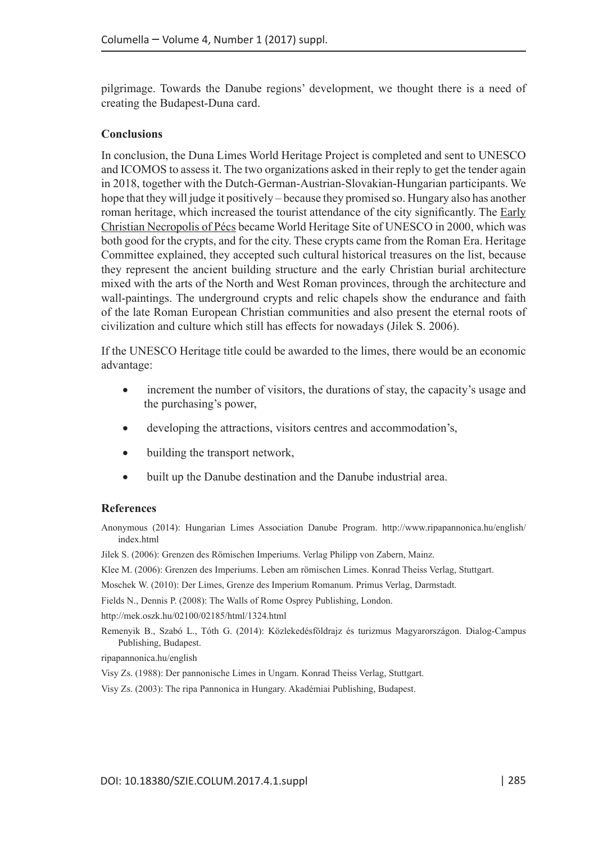pilgrimage. Towards the Danube regions' development, we thought there is a need of creating the Budapest-Duna card.

#### **Conclusions**

In conclusion, the Duna Limes World Heritage Project is completed and sent to UNESCO and ICOMOS to assess it. The two organizations asked in their reply to get the tender again in 2018, together with the Dutch-German-Austrian-Slovakian-Hungarian participants. We hope that they will judge it positively – because they promised so. Hungary also has another roman heritage, which increased the tourist attendance of the city significantly. The [Early](http://whc.unesco.org/en/list/853) [Christian Necropolis of Pécs](http://whc.unesco.org/en/list/853) became World Heritage Site of UNESCO in 2000, which was both good for the crypts, and for the city. These crypts came from the Roman Era. Heritage Committee explained, they accepted such cultural historical treasures on the list, because they represent the ancient building structure and the early Christian burial architecture mixed with the arts of the North and West Roman provinces, through the architecture and wall-paintings. The underground crypts and relic chapels show the endurance and faith of the late Roman European Christian communities and also present the eternal roots of civilization and culture which still has effects for nowadays (Jilek S. 2006).

If the UNESCO Heritage title could be awarded to the limes, there would be an economic advantage:

- increment the number of visitors, the durations of stay, the capacity's usage and the purchasing's power,
- developing the attractions, visitors centres and accommodation's,
- building the transport network,
- built up the Danube destination and the Danube industrial area.

#### **References**

Anonymous (2014): Hungarian Limes Association Danube Program. http://www.ripapannonica.hu/english/ index.html

Jilek S. (2006): Grenzen des Römischen Imperiums. Verlag Philipp von Zabern, Mainz.

Klee M. (2006): Grenzen des Imperiums. Leben am römischen Limes. Konrad Theiss Verlag, Stuttgart.

Moschek W. (2010): Der Limes, Grenze des Imperium Romanum. Primus Verlag, Darmstadt.

Fields N., Dennis P. (2008): The Walls of Rome Osprey Publishing, London.

http://mek.oszk.hu/02100/02185/html/1324.html

Remenyik B., Szabó L., Tóth G. (2014): Közlekedésföldrajz és turizmus Magyarországon. Dialog-Campus Publishing, Budapest.

ripapannonica.hu/english

Visy Zs. (1988): Der pannonische Limes in Ungarn. Konrad Theiss Verlag, Stuttgart.

Visy Zs. (2003): The ripa Pannonica in Hungary. Akadémiai Publishing, Budapest.